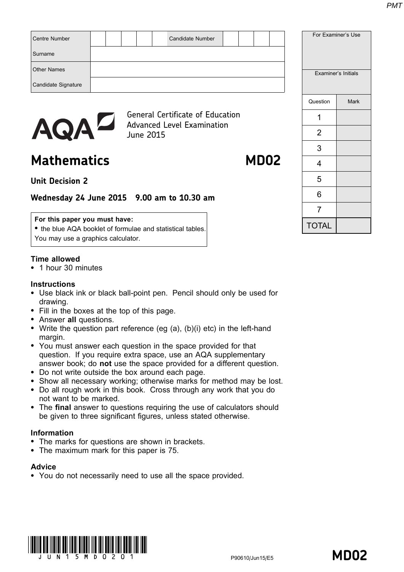| Centre Number<br>Candidate Number                                            |          | For Examiner's Use  |
|------------------------------------------------------------------------------|----------|---------------------|
| Surname                                                                      |          |                     |
| <b>Other Names</b>                                                           |          | Examiner's Initials |
| Candidate Signature                                                          |          |                     |
|                                                                              | Question | Mark                |
| <b>General Certificate of Education</b><br><b>Advanced Level Examination</b> |          |                     |
| AQAL<br>June 2015                                                            | 2        |                     |

# Mathematics MD02

## Unit Decision 2

## Wednesday 24 June 2015 9.00 am to 10.30 am

#### For this paper you must have:

• the blue AQA booklet of formulae and statistical tables. You may use a graphics calculator.

### Time allowed

\* 1 hour 30 minutes

#### **Instructions**

- Use black ink or black ball-point pen. Pencil should only be used for drawing.
- Fill in the boxes at the top of this page.
- Answer all questions.
- Write the question part reference (eg  $(a)$ ,  $(b)(i)$  etc) in the left-hand margin.
- You must answer each question in the space provided for that question. If you require extra space, use an AQA supplementary answer book; do not use the space provided for a different question.
- \* Do not write outside the box around each page.
- Show all necessary working; otherwise marks for method may be lost.
- \* Do all rough work in this book. Cross through any work that you do not want to be marked.
- The final answer to questions requiring the use of calculators should be given to three significant figures, unless stated otherwise.

### Information

- The marks for questions are shown in brackets.
- The maximum mark for this paper is 75.

#### **Advice**

• You do not necessarily need to use all the space provided.





|                | Examiner's Initials |
|----------------|---------------------|
| Question       | <b>Mark</b>         |
| 1              |                     |
| 2              |                     |
| 3              |                     |
| 4              |                     |
| 5              |                     |
| 6              |                     |
| $\overline{7}$ |                     |
| <b>TOTAL</b>   |                     |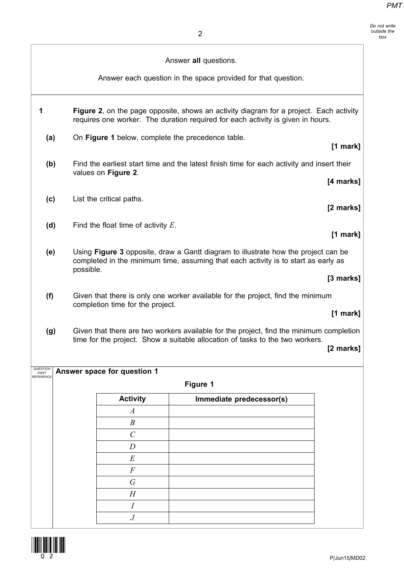Do not write outside the box

|                   |           |                                       | Answer all questions.                                                                                                                                                     |            |
|-------------------|-----------|---------------------------------------|---------------------------------------------------------------------------------------------------------------------------------------------------------------------------|------------|
|                   |           |                                       | Answer each question in the space provided for that question.                                                                                                             |            |
| 1                 |           |                                       | Figure 2, on the page opposite, shows an activity diagram for a project. Each activity<br>requires one worker. The duration required for each activity is given in hours. |            |
| (a)               |           |                                       | On Figure 1 below, complete the precedence table.                                                                                                                         | [1 mark]   |
| (b)               |           | values on Figure 2.                   | Find the earliest start time and the latest finish time for each activity and insert their                                                                                |            |
|                   |           |                                       |                                                                                                                                                                           | [4 marks]  |
| (c)               |           | List the critical paths.              |                                                                                                                                                                           | [2 marks]  |
| (d)               |           | Find the float time of activity $E$ . |                                                                                                                                                                           | $[1$ mark] |
| (e)               | possible. |                                       | Using Figure 3 opposite, draw a Gantt diagram to illustrate how the project can be<br>completed in the minimum time, assuming that each activity is to start as early as  |            |
|                   |           |                                       |                                                                                                                                                                           | [3 marks]  |
| (f)               |           | completion time for the project.      | Given that there is only one worker available for the project, find the minimum                                                                                           |            |
|                   |           |                                       |                                                                                                                                                                           | $[1$ mark] |
| (g)<br>QUESTION   |           | Answer space for question 1           | Given that there are two workers available for the project, find the minimum completion<br>time for the project. Show a suitable allocation of tasks to the two workers.  | [2 marks]  |
| PART<br>REFERENCE |           |                                       | Figure 1                                                                                                                                                                  |            |
|                   |           |                                       |                                                                                                                                                                           |            |
|                   |           | <b>Activity</b><br>$\boldsymbol{A}$   | Immediate predecessor(s)                                                                                                                                                  |            |
|                   |           | $\boldsymbol{B}$                      |                                                                                                                                                                           |            |
|                   |           | $\mathcal{C}$                         |                                                                                                                                                                           |            |
|                   |           | $\boldsymbol{D}$                      |                                                                                                                                                                           |            |
|                   |           | $E_{\rm}$                             |                                                                                                                                                                           |            |
|                   |           | $\boldsymbol{F}$                      |                                                                                                                                                                           |            |
|                   |           | $\sqrt{G}$                            |                                                                                                                                                                           |            |
|                   |           | H                                     |                                                                                                                                                                           |            |
|                   |           | $\boldsymbol{I}$                      |                                                                                                                                                                           |            |
|                   |           | $\boldsymbol{J}$                      |                                                                                                                                                                           |            |

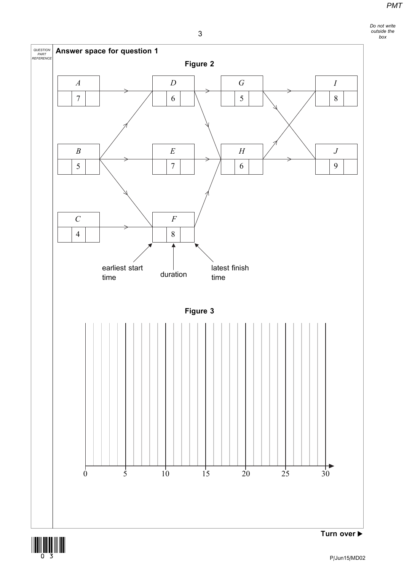Do not write outside the box

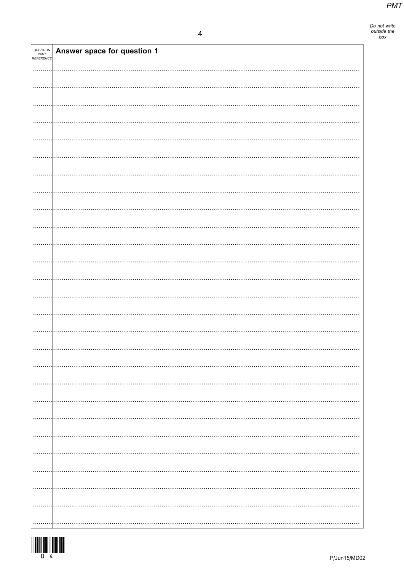Do not write<br>outside the<br>box

| <b>QUESTION<br/>PART<br/>REFERENCE</b> | Answer space for question 1 |
|----------------------------------------|-----------------------------|
|                                        |                             |
|                                        |                             |
|                                        |                             |
|                                        |                             |
|                                        |                             |
|                                        |                             |
|                                        |                             |
|                                        |                             |
|                                        |                             |
|                                        |                             |
|                                        |                             |
|                                        |                             |
|                                        |                             |
|                                        |                             |
|                                        |                             |
|                                        |                             |
|                                        |                             |
|                                        |                             |
|                                        |                             |
|                                        |                             |
|                                        |                             |
|                                        |                             |
|                                        |                             |
|                                        |                             |
|                                        |                             |
|                                        |                             |
|                                        |                             |
|                                        |                             |
|                                        |                             |
|                                        |                             |
|                                        |                             |
|                                        |                             |
|                                        |                             |
|                                        |                             |
|                                        |                             |
|                                        |                             |
|                                        |                             |
|                                        |                             |
|                                        |                             |
|                                        |                             |
|                                        |                             |
|                                        |                             |
|                                        |                             |

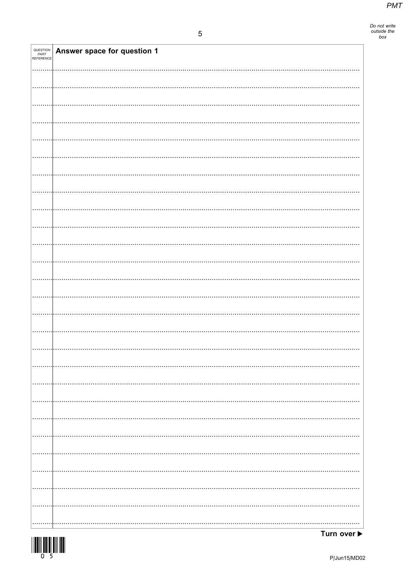Do not write<br>outside the<br>box

| <b>QUESTION<br/>PART<br/>REFERENCE</b> | Answer space for question 1 |
|----------------------------------------|-----------------------------|
|                                        |                             |
|                                        |                             |
|                                        |                             |
|                                        |                             |
|                                        |                             |
|                                        |                             |
|                                        |                             |
|                                        |                             |
|                                        |                             |
|                                        |                             |
|                                        |                             |
|                                        |                             |
|                                        |                             |
|                                        |                             |
|                                        |                             |
|                                        |                             |
|                                        |                             |
|                                        |                             |
|                                        |                             |
|                                        |                             |
|                                        |                             |
|                                        |                             |
|                                        | .                           |
|                                        |                             |
|                                        |                             |
|                                        |                             |
| .                                      |                             |
|                                        |                             |
|                                        |                             |

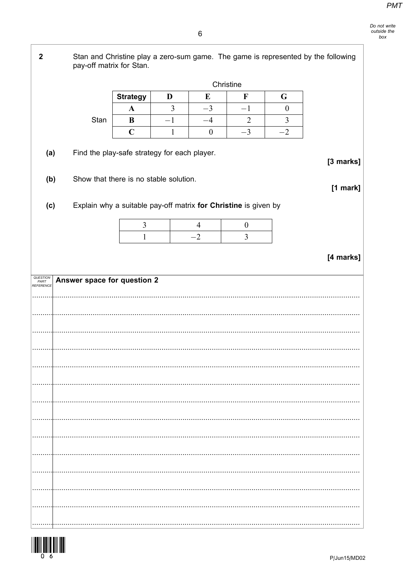$\overline{2}$ Stan and Christine play a zero-sum game. The game is represented by the following pay-off matrix for Stan. Christine **Strategy**  $\overline{\mathbf{F}}$ D  $E$  $\mathbf G$  $\overline{3}$  $-3$  $-1$  $\overline{0}$  $\mathbf{A}$ Stan  $-1$  $-4$  $\overline{2}$  $\overline{3}$  $\bf{B}$  $\overline{C}$  $\boldsymbol{0}$  $-3$  $-2$  $\mathbf{1}$ Find the play-safe strategy for each player.  $(a)$ [3 marks] Show that there is no stable solution.  $(b)$  $[1$  mark] Explain why a suitable pay-off matrix for Christine is given by  $(c)$ 3  $\overline{4}$  $\boldsymbol{0}$  $-2$  $\overline{3}$  $\mathbf{1}$ [4 marks] QUESTION<br>PART<br>REFERENCI Answer space for question 2 

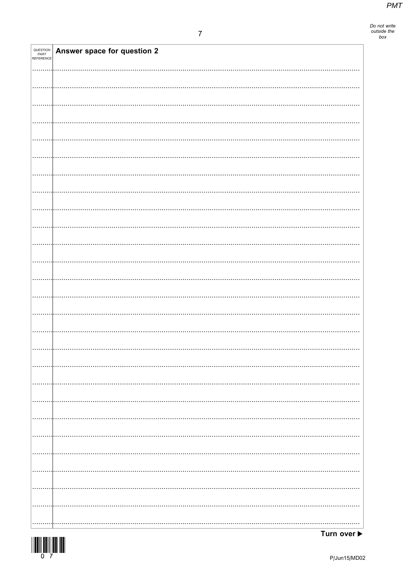Do not write<br>outside the<br>box

| <b>QUESTION<br/>PART<br/>REFERENCE</b> | Answer space for question 2 |
|----------------------------------------|-----------------------------|
|                                        |                             |
|                                        |                             |
|                                        |                             |
|                                        |                             |
|                                        |                             |
|                                        |                             |
|                                        |                             |
|                                        |                             |
|                                        |                             |
|                                        |                             |
|                                        |                             |
|                                        |                             |
|                                        |                             |
|                                        |                             |
|                                        |                             |
|                                        |                             |
|                                        |                             |
|                                        |                             |
|                                        |                             |
|                                        |                             |
|                                        |                             |
| .                                      |                             |
| .                                      |                             |
|                                        |                             |
|                                        |                             |

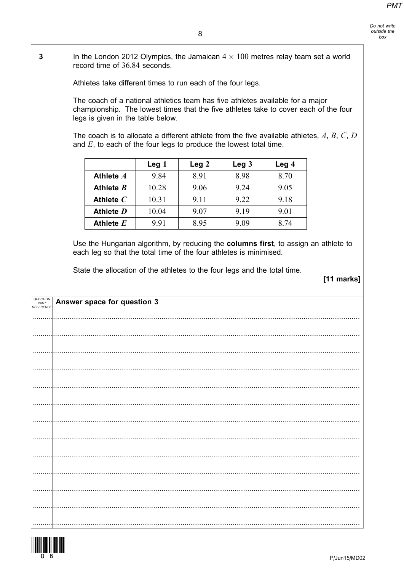$\overline{3}$ In the London 2012 Olympics, the Jamaican  $4 \times 100$  metres relay team set a world record time of 36.84 seconds.

Athletes take different times to run each of the four legs.

The coach of a national athletics team has five athletes available for a major championship. The lowest times that the five athletes take to cover each of the four legs is given in the table below.

The coach is to allocate a different athlete from the five available athletes,  $A, B, C, D$ and  $E$ , to each of the four legs to produce the lowest total time.

|             | Leg 1 | Leg <sub>2</sub> | Leg <sub>3</sub> | Leg <sub>4</sub> |
|-------------|-------|------------------|------------------|------------------|
| Athlete A   | 9.84  | 8.91             | 8.98             | 8.70             |
| Athlete $B$ | 10.28 | 9.06             | 9.24             | 9.05             |
| Athlete $C$ | 10.31 | 9.11             | 9.22             | 9.18             |
| Athlete D   | 10.04 | 9.07             | 9.19             | 9.01             |
| Athlete $E$ | 9.91  | 8.95             | 9.09             | 8.74             |

Use the Hungarian algorithm, by reducing the columns first, to assign an athlete to each leg so that the total time of the four athletes is minimised.

State the allocation of the athletes to the four legs and the total time.

[11 marks]

| QUESTION<br>PART | Answer space for question 3 |
|------------------|-----------------------------|
| <b>REFERENCE</b> |                             |
|                  |                             |
|                  |                             |
|                  |                             |
|                  |                             |
|                  |                             |
|                  |                             |
|                  |                             |
|                  |                             |
|                  |                             |
|                  |                             |
|                  |                             |
|                  |                             |
|                  |                             |
|                  |                             |
|                  |                             |
|                  |                             |
|                  |                             |

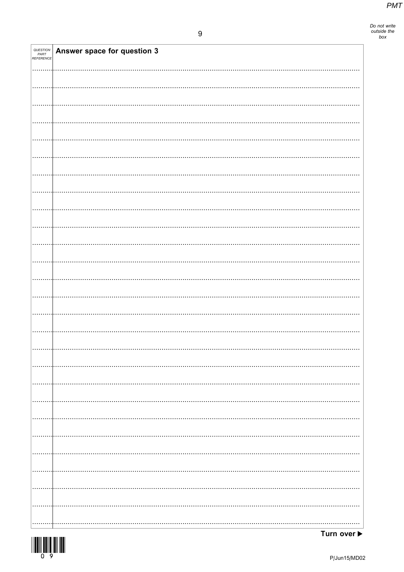Do not write<br>outside the<br>box

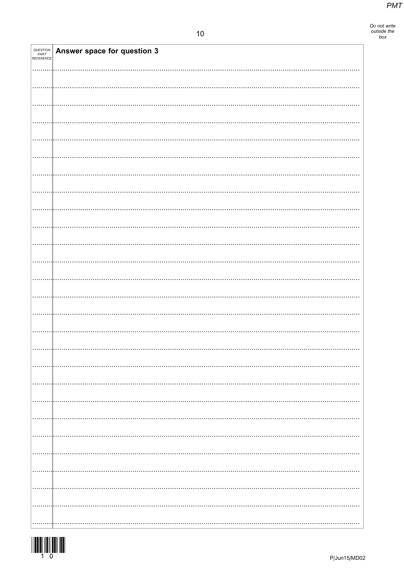Do not write<br>outside the<br>box

| <i>QUESTION<br/>PART<br/>REFERENCE</i> | Answer space for question 3 |  |
|----------------------------------------|-----------------------------|--|
|                                        |                             |  |
|                                        |                             |  |
|                                        |                             |  |
|                                        |                             |  |
|                                        |                             |  |
|                                        |                             |  |
|                                        |                             |  |
|                                        |                             |  |
|                                        |                             |  |
|                                        |                             |  |
|                                        |                             |  |
|                                        |                             |  |
|                                        |                             |  |
|                                        |                             |  |
|                                        |                             |  |
|                                        |                             |  |
|                                        |                             |  |
|                                        |                             |  |
|                                        |                             |  |
|                                        |                             |  |
|                                        |                             |  |
|                                        |                             |  |
|                                        |                             |  |
|                                        |                             |  |
|                                        |                             |  |
|                                        |                             |  |

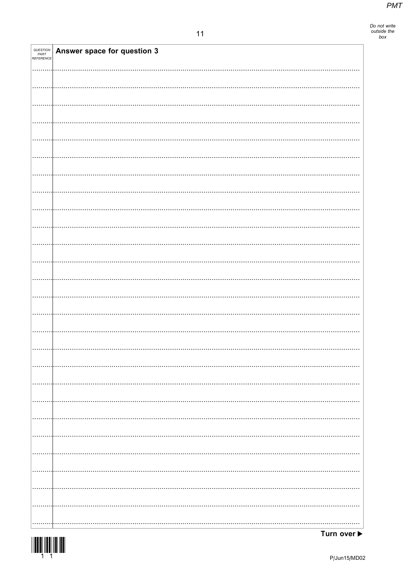Do not write<br>outside the<br>box

| QUESTION<br>PART<br>REFERENCE | Answer space for question 3 |
|-------------------------------|-----------------------------|
|                               |                             |
|                               |                             |
|                               |                             |
|                               |                             |
|                               |                             |
|                               |                             |
|                               |                             |
|                               |                             |
|                               |                             |
|                               |                             |
|                               |                             |
|                               |                             |
|                               |                             |
|                               |                             |
|                               |                             |
|                               |                             |
|                               |                             |
|                               |                             |
|                               |                             |
|                               |                             |
|                               |                             |
|                               |                             |
|                               |                             |
|                               |                             |
|                               |                             |
|                               |                             |
|                               |                             |
|                               |                             |
|                               |                             |

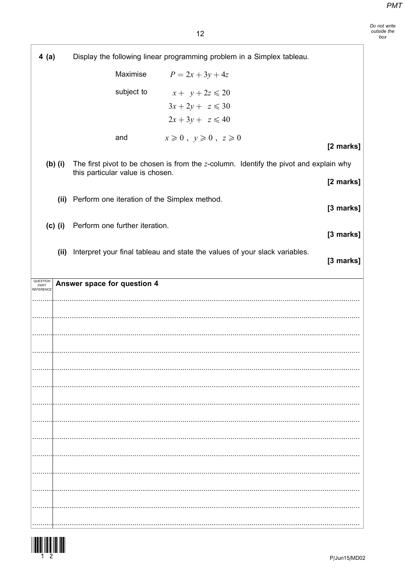Do not write<br>outside the<br>box

| 4(a)                   | Display the following linear programming problem in a Simplex tableau.                   |
|------------------------|------------------------------------------------------------------------------------------|
|                        | Maximise<br>$P = 2x + 3y + 4z$                                                           |
|                        | subject to<br>$x + y + 2z \le 20$                                                        |
|                        | $3x+2y+z\leqslant 30$                                                                    |
|                        | $2x+3y+z\leqslant 40$                                                                    |
|                        | $x \geqslant 0$ , $y \geqslant 0$ , $z \geqslant 0$<br>and<br>[2 marks]                  |
| $(b)$ (i)              | The first pivot to be chosen is from the $z$ -column. Identify the pivot and explain why |
|                        | this particular value is chosen.<br>[2 marks]                                            |
| (ii)                   | Perform one iteration of the Simplex method.                                             |
|                        | [3 marks]                                                                                |
| $(c)$ (i)              | Perform one further iteration.<br>[3 marks]                                              |
| (ii)                   | Interpret your final tableau and state the values of your slack variables.<br>[3 marks]  |
| <i><b>QUESTION</b></i> |                                                                                          |
| PART<br>REFERENCE      | Answer space for question 4                                                              |
|                        |                                                                                          |
|                        |                                                                                          |
|                        |                                                                                          |
|                        |                                                                                          |
|                        |                                                                                          |
|                        |                                                                                          |
|                        |                                                                                          |
|                        |                                                                                          |
|                        |                                                                                          |
|                        |                                                                                          |
|                        |                                                                                          |
|                        |                                                                                          |
|                        |                                                                                          |
|                        |                                                                                          |



l.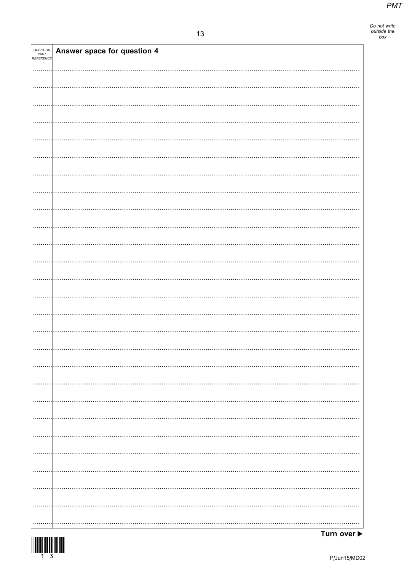| QUESTION<br>PART<br>REFERENCE | Answer space for question 4 |
|-------------------------------|-----------------------------|
|                               |                             |
|                               |                             |
|                               |                             |
|                               |                             |
|                               |                             |
|                               |                             |
|                               |                             |
|                               |                             |
|                               |                             |
|                               |                             |
|                               |                             |
|                               |                             |
|                               |                             |
|                               |                             |
|                               |                             |
|                               |                             |
|                               |                             |
|                               |                             |
|                               |                             |
|                               |                             |
|                               |                             |
|                               |                             |
|                               |                             |
|                               |                             |
|                               |                             |
|                               |                             |
|                               |                             |
| .                             |                             |

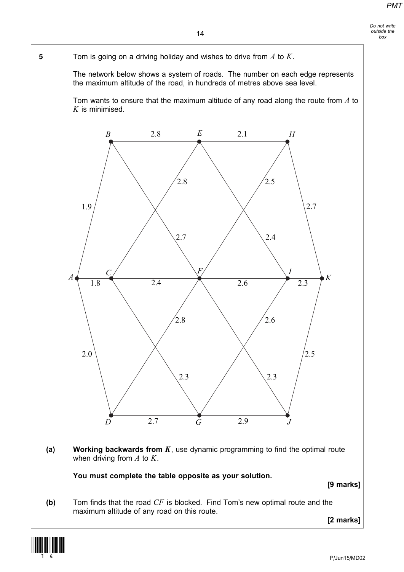#### Do not write outside the box

#### 14

5 Tom is going on a driving holiday and wishes to drive from  $A$  to  $K$ .

The network below shows a system of roads. The number on each edge represents the maximum altitude of the road, in hundreds of metres above sea level.

Tom wants to ensure that the maximum altitude of any road along the route from  $A$  to  $K$  is minimised.



(a) Working backwards from  $K$ , use dynamic programming to find the optimal route when driving from  $A$  to  $K$ .

You must complete the table opposite as your solution.

[9 marks]

(b) Tom finds that the road  $CF$  is blocked. Find Tom's new optimal route and the maximum altitude of any road on this route.

[2 marks]

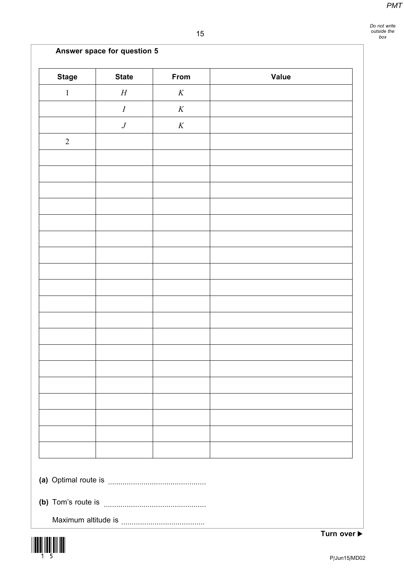Do not write outside the box

# Answer space for question 5

| <b>Stage</b> | <b>State</b>     | From     | <b>Value</b> |  |
|--------------|------------------|----------|--------------|--|
| $\mathbf{1}$ | $\cal H$         | $\cal K$ |              |  |
|              | $\boldsymbol{I}$ | $\cal K$ |              |  |
|              | $\,$             | $\cal K$ |              |  |
| $\sqrt{2}$   |                  |          |              |  |
|              |                  |          |              |  |
|              |                  |          |              |  |
|              |                  |          |              |  |
|              |                  |          |              |  |
|              |                  |          |              |  |
|              |                  |          |              |  |
|              |                  |          |              |  |
|              |                  |          |              |  |
|              |                  |          |              |  |
|              |                  |          |              |  |
|              |                  |          |              |  |
|              |                  |          |              |  |
|              |                  |          |              |  |
|              |                  |          |              |  |
|              |                  |          |              |  |
|              |                  |          |              |  |
|              |                  |          |              |  |
|              |                  |          |              |  |
|              |                  |          |              |  |
|              |                  |          |              |  |
|              |                  |          |              |  |
|              |                  |          |              |  |

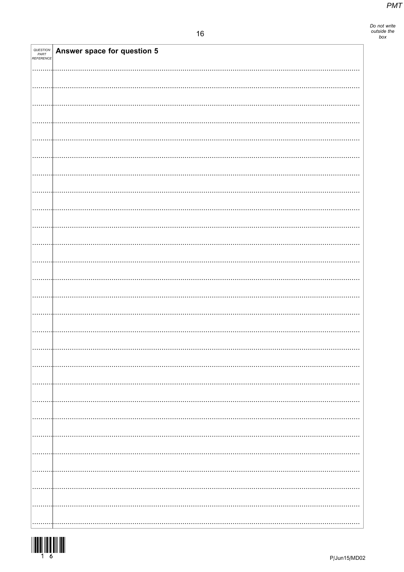Do not write<br>outside the<br>box

| QUESTION<br>PART<br>REFERENCE | Answer space for question 5 |
|-------------------------------|-----------------------------|
|                               |                             |
|                               |                             |
|                               |                             |
|                               |                             |
|                               |                             |
|                               |                             |
|                               |                             |
|                               |                             |
|                               |                             |
|                               |                             |
|                               |                             |
|                               |                             |
|                               |                             |
|                               |                             |
|                               |                             |
|                               |                             |
|                               |                             |
|                               |                             |
|                               |                             |
|                               |                             |
|                               |                             |
|                               |                             |
|                               |                             |
|                               |                             |
|                               |                             |
|                               |                             |

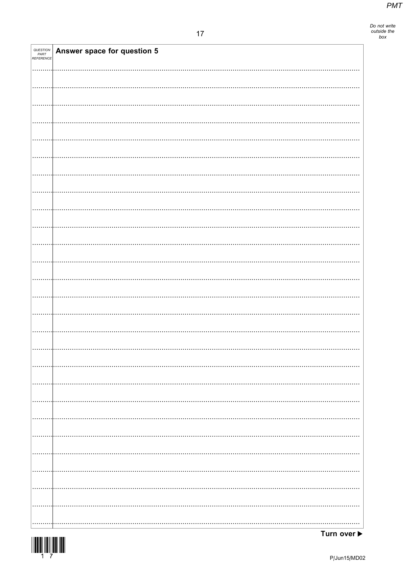| QUESTION<br>PART<br>REFERENCE | Answer space for question 5 |
|-------------------------------|-----------------------------|
|                               |                             |
|                               |                             |
|                               |                             |
|                               |                             |
|                               |                             |
|                               |                             |
|                               |                             |
|                               |                             |
|                               |                             |
|                               |                             |
|                               |                             |
|                               |                             |
|                               |                             |
|                               |                             |
|                               |                             |
|                               |                             |
|                               |                             |
|                               |                             |
|                               |                             |
|                               |                             |
|                               |                             |
|                               |                             |
|                               |                             |
|                               |                             |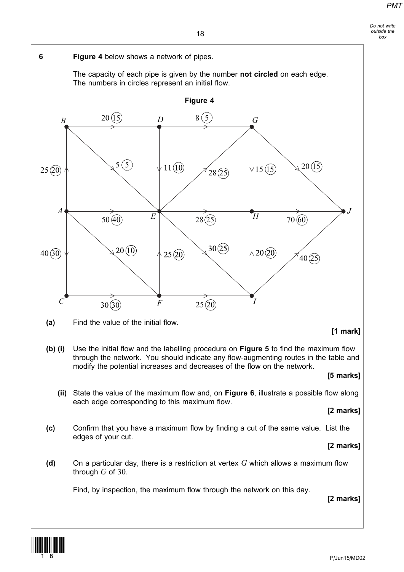#### Do not write outside the box



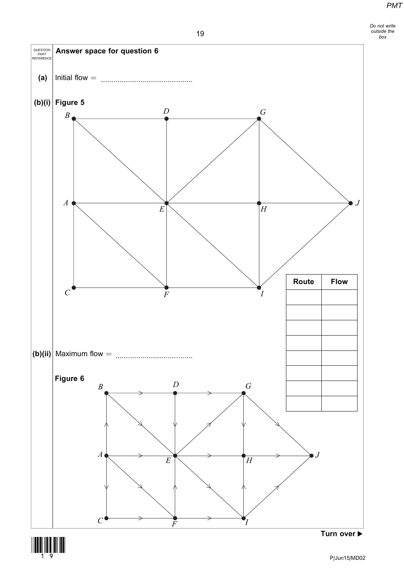



19

(19)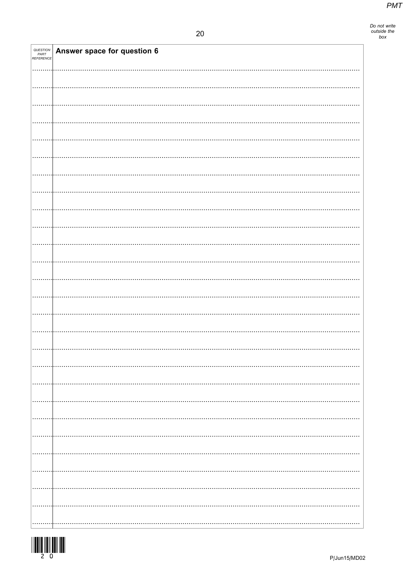Do not write<br>outside the<br>box

| QUESTION<br>PART<br>REFERENCE | Answer space for question 6 |
|-------------------------------|-----------------------------|
|                               |                             |
|                               |                             |
|                               |                             |
|                               |                             |
|                               |                             |
|                               |                             |
|                               |                             |
|                               |                             |
|                               |                             |
|                               |                             |
|                               |                             |
|                               |                             |
|                               |                             |
|                               |                             |
|                               |                             |
|                               |                             |
|                               |                             |
|                               |                             |
|                               |                             |
|                               |                             |
|                               |                             |
|                               |                             |
|                               |                             |
|                               |                             |
|                               |                             |
|                               |                             |
|                               |                             |
|                               |                             |
|                               |                             |
|                               |                             |
|                               |                             |
|                               |                             |
|                               |                             |
|                               |                             |
|                               |                             |
|                               |                             |
|                               |                             |
|                               |                             |
|                               |                             |
|                               |                             |
|                               |                             |
|                               |                             |
|                               |                             |
|                               |                             |

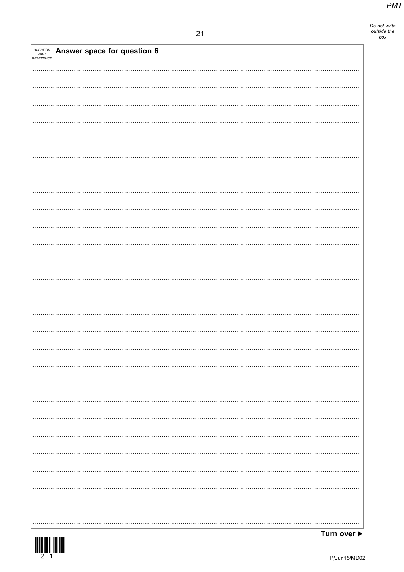| QUESTION<br>PART<br>REFERENCE | Answer space for question 6 |
|-------------------------------|-----------------------------|
|                               |                             |
|                               |                             |
|                               |                             |
|                               |                             |
|                               |                             |
|                               |                             |
|                               |                             |
|                               |                             |
|                               |                             |
|                               |                             |
|                               |                             |
|                               |                             |
|                               |                             |
|                               |                             |
|                               |                             |
|                               |                             |
|                               |                             |
|                               |                             |
|                               |                             |
|                               |                             |
|                               |                             |
|                               |                             |
|                               |                             |
|                               |                             |
|                               |                             |
|                               |                             |
|                               |                             |
|                               |                             |
|                               |                             |
|                               |                             |
|                               |                             |
|                               |                             |
|                               |                             |
|                               |                             |
|                               |                             |
|                               |                             |
|                               |                             |
|                               |                             |
|                               |                             |
|                               |                             |
|                               |                             |
|                               |                             |
|                               |                             |
|                               |                             |
|                               |                             |
|                               |                             |
|                               |                             |
|                               |                             |
|                               |                             |
|                               |                             |
|                               |                             |
|                               |                             |
|                               |                             |
|                               |                             |
|                               |                             |
|                               |                             |
|                               |                             |
|                               |                             |

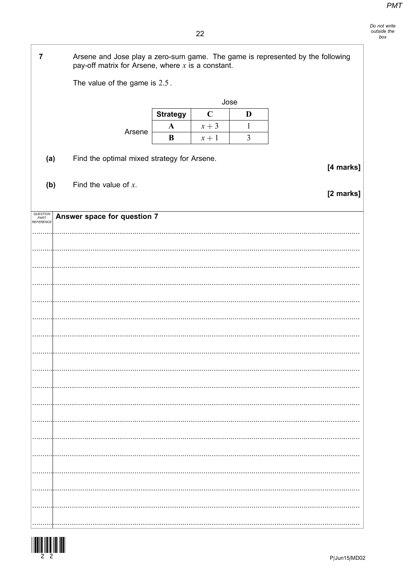$22$ 

| $\overline{7}$                | Arsene and Jose play a zero-sum game. The game is represented by the following<br>pay-off matrix for Arsene, where $x$ is a constant. |                                             |                 |             |                |           |
|-------------------------------|---------------------------------------------------------------------------------------------------------------------------------------|---------------------------------------------|-----------------|-------------|----------------|-----------|
|                               |                                                                                                                                       | The value of the game is 2.5.               |                 |             |                |           |
|                               |                                                                                                                                       |                                             |                 | Jose        |                |           |
|                               |                                                                                                                                       |                                             | <b>Strategy</b> | $\mathbf C$ | D              |           |
|                               |                                                                                                                                       | Arsene                                      | $\mathbf A$     | $x + 3$     | $\mathbf{1}$   |           |
|                               |                                                                                                                                       |                                             | B               | $x+1$       | $\mathfrak{Z}$ |           |
| (a)                           |                                                                                                                                       | Find the optimal mixed strategy for Arsene. |                 |             |                | [4 marks] |
| (b)                           |                                                                                                                                       | Find the value of $x$ .                     |                 |             |                | [2 marks] |
| QUESTION<br>PART<br>REFERENCE |                                                                                                                                       | Answer space for question 7                 |                 |             |                |           |
|                               |                                                                                                                                       |                                             |                 |             |                |           |
|                               |                                                                                                                                       |                                             |                 |             |                |           |
|                               |                                                                                                                                       |                                             |                 |             |                |           |
|                               |                                                                                                                                       |                                             |                 |             |                |           |
|                               |                                                                                                                                       |                                             |                 |             |                |           |
|                               |                                                                                                                                       |                                             |                 |             |                |           |
|                               |                                                                                                                                       |                                             |                 |             |                |           |
|                               |                                                                                                                                       |                                             |                 |             |                |           |
|                               |                                                                                                                                       |                                             |                 |             |                |           |
|                               |                                                                                                                                       |                                             |                 |             |                |           |
|                               |                                                                                                                                       |                                             |                 |             |                |           |
|                               |                                                                                                                                       |                                             |                 |             |                |           |
|                               |                                                                                                                                       |                                             |                 |             |                |           |
|                               |                                                                                                                                       |                                             |                 |             |                |           |
|                               |                                                                                                                                       |                                             |                 |             |                |           |
|                               |                                                                                                                                       |                                             |                 |             |                |           |
|                               |                                                                                                                                       |                                             |                 |             |                |           |
|                               |                                                                                                                                       |                                             |                 |             |                |           |

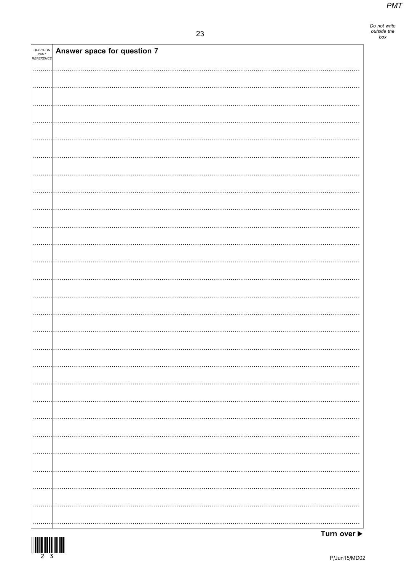| <b>QUESTION<br/>PART<br/>REFERENCE</b> | Answer space for question 7 |  |
|----------------------------------------|-----------------------------|--|
|                                        |                             |  |
|                                        |                             |  |
|                                        |                             |  |
|                                        |                             |  |
|                                        |                             |  |
|                                        |                             |  |
|                                        |                             |  |
|                                        |                             |  |
|                                        |                             |  |
|                                        |                             |  |
|                                        |                             |  |
|                                        |                             |  |
|                                        |                             |  |
|                                        |                             |  |
|                                        |                             |  |
|                                        |                             |  |
|                                        |                             |  |
|                                        |                             |  |
|                                        |                             |  |
|                                        |                             |  |
|                                        |                             |  |
|                                        |                             |  |
|                                        |                             |  |
|                                        |                             |  |